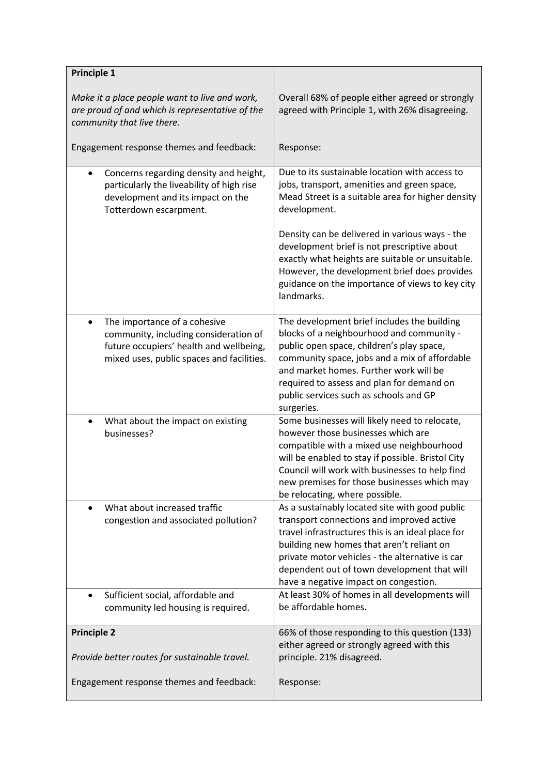| <b>Principle 1</b>                                                                                                                                                         |                                                                                                                                                                                                                                                                                                                                          |
|----------------------------------------------------------------------------------------------------------------------------------------------------------------------------|------------------------------------------------------------------------------------------------------------------------------------------------------------------------------------------------------------------------------------------------------------------------------------------------------------------------------------------|
| Make it a place people want to live and work,<br>are proud of and which is representative of the<br>community that live there.                                             | Overall 68% of people either agreed or strongly<br>agreed with Principle 1, with 26% disagreeing.                                                                                                                                                                                                                                        |
| Engagement response themes and feedback:                                                                                                                                   | Response:                                                                                                                                                                                                                                                                                                                                |
| Concerns regarding density and height,<br>particularly the liveability of high rise<br>development and its impact on the<br>Totterdown escarpment.                         | Due to its sustainable location with access to<br>jobs, transport, amenities and green space,<br>Mead Street is a suitable area for higher density<br>development.                                                                                                                                                                       |
|                                                                                                                                                                            | Density can be delivered in various ways - the<br>development brief is not prescriptive about<br>exactly what heights are suitable or unsuitable.<br>However, the development brief does provides<br>guidance on the importance of views to key city<br>landmarks.                                                                       |
| The importance of a cohesive<br>$\bullet$<br>community, including consideration of<br>future occupiers' health and wellbeing,<br>mixed uses, public spaces and facilities. | The development brief includes the building<br>blocks of a neighbourhood and community -<br>public open space, children's play space,<br>community space, jobs and a mix of affordable<br>and market homes. Further work will be<br>required to assess and plan for demand on<br>public services such as schools and GP<br>surgeries.    |
| What about the impact on existing<br>$\bullet$<br>businesses?                                                                                                              | Some businesses will likely need to relocate,<br>however those businesses which are<br>compatible with a mixed use neighbourhood<br>will be enabled to stay if possible. Bristol City<br>Council will work with businesses to help find<br>new premises for those businesses which may<br>be relocating, where possible.                 |
| What about increased traffic<br>$\bullet$<br>congestion and associated pollution?                                                                                          | As a sustainably located site with good public<br>transport connections and improved active<br>travel infrastructures this is an ideal place for<br>building new homes that aren't reliant on<br>private motor vehicles - the alternative is car<br>dependent out of town development that will<br>have a negative impact on congestion. |
| Sufficient social, affordable and<br>$\bullet$<br>community led housing is required.                                                                                       | At least 30% of homes in all developments will<br>be affordable homes.                                                                                                                                                                                                                                                                   |
| <b>Principle 2</b>                                                                                                                                                         | 66% of those responding to this question (133)                                                                                                                                                                                                                                                                                           |
| Provide better routes for sustainable travel.                                                                                                                              | either agreed or strongly agreed with this<br>principle. 21% disagreed.                                                                                                                                                                                                                                                                  |
| Engagement response themes and feedback:                                                                                                                                   | Response:                                                                                                                                                                                                                                                                                                                                |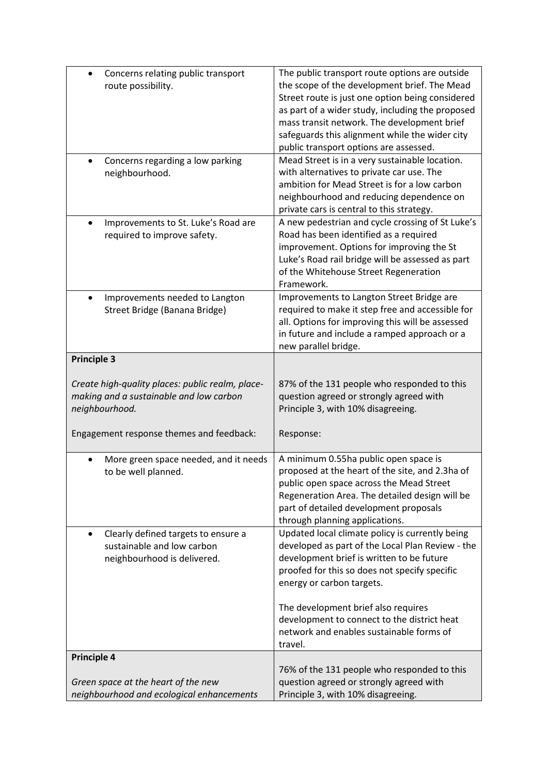| Concerns relating public transport<br>$\bullet$<br>route possibility.                                                                                     | The public transport route options are outside<br>the scope of the development brief. The Mead<br>Street route is just one option being considered<br>as part of a wider study, including the proposed<br>mass transit network. The development brief<br>safeguards this alignment while the wider city<br>public transport options are assessed. |
|-----------------------------------------------------------------------------------------------------------------------------------------------------------|---------------------------------------------------------------------------------------------------------------------------------------------------------------------------------------------------------------------------------------------------------------------------------------------------------------------------------------------------|
| Concerns regarding a low parking<br>neighbourhood.                                                                                                        | Mead Street is in a very sustainable location.<br>with alternatives to private car use. The<br>ambition for Mead Street is for a low carbon<br>neighbourhood and reducing dependence on<br>private cars is central to this strategy.                                                                                                              |
| Improvements to St. Luke's Road are<br>$\bullet$<br>required to improve safety.                                                                           | A new pedestrian and cycle crossing of St Luke's<br>Road has been identified as a required<br>improvement. Options for improving the St<br>Luke's Road rail bridge will be assessed as part<br>of the Whitehouse Street Regeneration<br>Framework.                                                                                                |
| Improvements needed to Langton<br>$\bullet$<br>Street Bridge (Banana Bridge)                                                                              | Improvements to Langton Street Bridge are<br>required to make it step free and accessible for<br>all. Options for improving this will be assessed<br>in future and include a ramped approach or a<br>new parallel bridge.                                                                                                                         |
| <b>Principle 3</b>                                                                                                                                        |                                                                                                                                                                                                                                                                                                                                                   |
| Create high-quality places: public realm, place-<br>making and a sustainable and low carbon<br>neighbourhood.<br>Engagement response themes and feedback: | 87% of the 131 people who responded to this<br>question agreed or strongly agreed with<br>Principle 3, with 10% disagreeing.<br>Response:                                                                                                                                                                                                         |
| More green space needed, and it needs<br>to be well planned.                                                                                              | A minimum 0.55ha public open space is<br>proposed at the heart of the site, and 2.3ha of<br>public open space across the Mead Street<br>Regeneration Area. The detailed design will be<br>part of detailed development proposals<br>through planning applications.                                                                                |
| Clearly defined targets to ensure a<br>$\bullet$<br>sustainable and low carbon<br>neighbourhood is delivered.                                             | Updated local climate policy is currently being<br>developed as part of the Local Plan Review - the<br>development brief is written to be future<br>proofed for this so does not specify specific<br>energy or carbon targets.<br>The development brief also requires                                                                             |
|                                                                                                                                                           | development to connect to the district heat<br>network and enables sustainable forms of<br>travel.                                                                                                                                                                                                                                                |
| <b>Principle 4</b>                                                                                                                                        |                                                                                                                                                                                                                                                                                                                                                   |
| Green space at the heart of the new<br>neighbourhood and ecological enhancements                                                                          | 76% of the 131 people who responded to this<br>question agreed or strongly agreed with<br>Principle 3, with 10% disagreeing.                                                                                                                                                                                                                      |